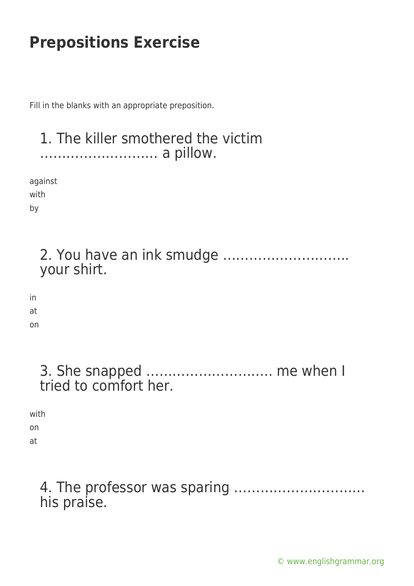Fill in the blanks with an appropriate preposition.

# 1. The killer smothered the victim ……………………… a pillow. against with by 2. You have an ink smudge ……………………….. your shirt. in at on

| 3. She snapped  me when I |  |  |
|---------------------------|--|--|
| tried to comfort her.     |  |  |

with on

at

### 4. The professor was sparing ………………………… his praise.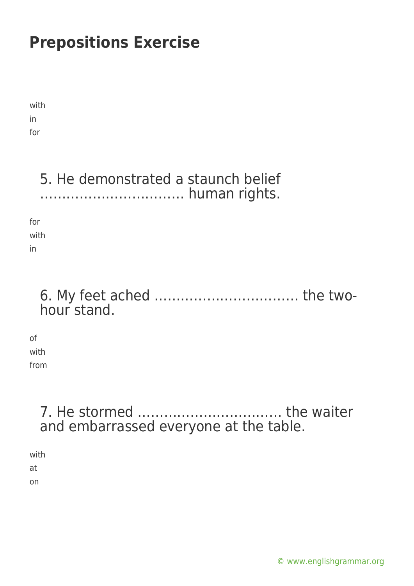with in for

### 5. He demonstrated a staunch belief …………………………… human rights.

for with in

#### 6. My feet ached …………………………… the twohour stand.

of with

from

### 7. He stormed …………………………… the waiter and embarrassed everyone at the table.

with at

on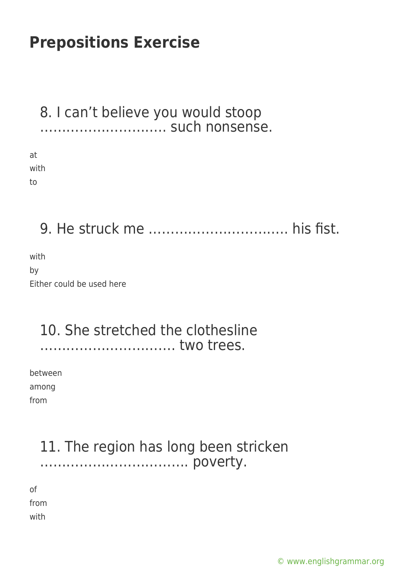#### 8. I can't believe you would stoop ……………………….. such nonsense.

at with to

### 9. He struck me ………………………….. his fist.

with by Either could be used here

#### 10. She stretched the clothesline …………………………. two trees.

between among from

#### 11. The region has long been stricken ……………………………. poverty.

of from with